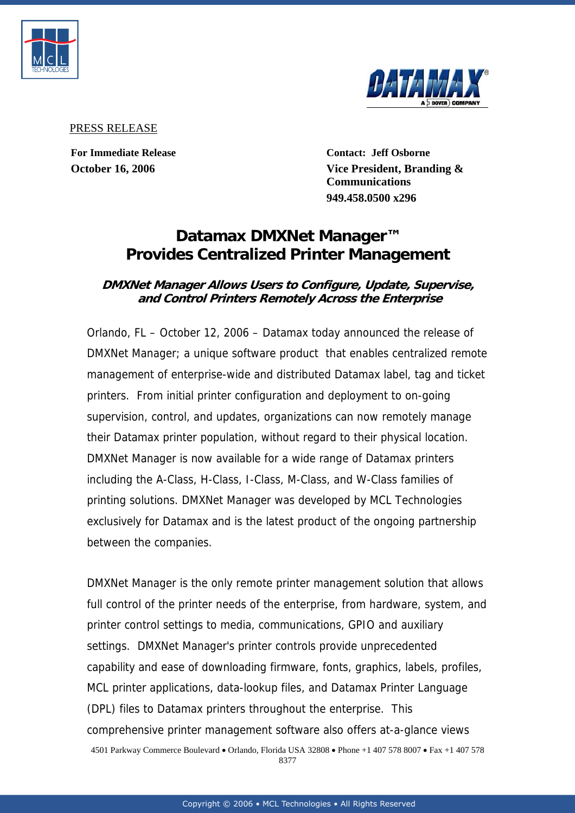



PRESS RELEASE

**For Immediate Release Contact: Jeff Osborne October 16, 2006 Vice President, Branding & Communications 949.458.0500 x296**

## **Datamax DMXNet Manager™ Provides Centralized Printer Management**

## **DMXNet Manager Allows Users to Configure, Update, Supervise, and Control Printers Remotely Across the Enterprise**

Orlando, FL – October 12, 2006 – Datamax today announced the release of DMXNet Manager; a unique software product that enables centralized remote management of enterprise-wide and distributed Datamax label, tag and ticket printers. From initial printer configuration and deployment to on-going supervision, control, and updates, organizations can now remotely manage their Datamax printer population, without regard to their physical location. DMXNet Manager is now available for a wide range of Datamax printers including the A-Class, H-Class, I-Class, M-Class, and W-Class families of printing solutions. DMXNet Manager was developed by MCL Technologies exclusively for Datamax and is the latest product of the ongoing partnership between the companies.

DMXNet Manager is the only remote printer management solution that allows full control of the printer needs of the enterprise, from hardware, system, and printer control settings to media, communications, GPIO and auxiliary settings. DMXNet Manager's printer controls provide unprecedented capability and ease of downloading firmware, fonts, graphics, labels, profiles, MCL printer applications, data-lookup files, and Datamax Printer Language (DPL) files to Datamax printers throughout the enterprise. This comprehensive printer management software also offers at-a-glance views 4501 Parkway Commerce Boulevard • Orlando, Florida USA 32808 • Phone +1 407 578 8007 • Fax +1 407 578 8377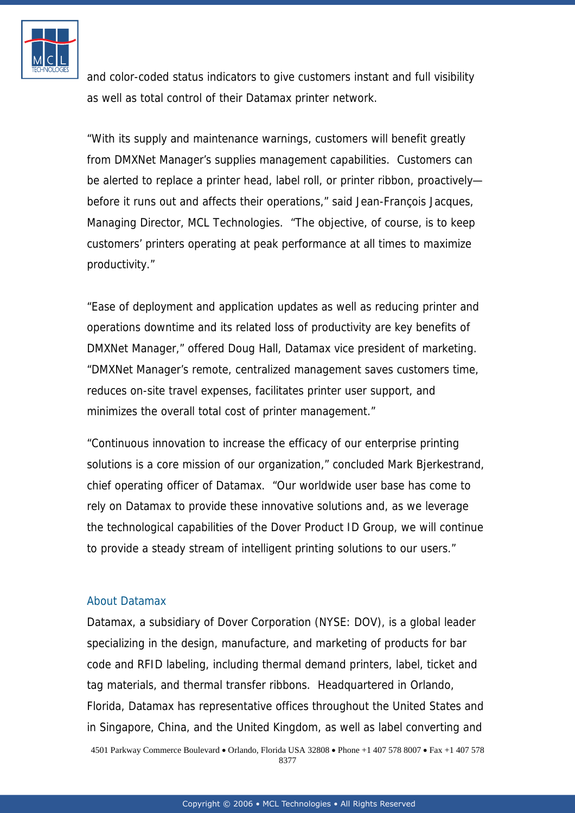

and color-coded status indicators to give customers instant and full visibility as well as total control of their Datamax printer network.

"With its supply and maintenance warnings, customers will benefit greatly from DMXNet Manager's supplies management capabilities. Customers can be alerted to replace a printer head, label roll, or printer ribbon, proactively before it runs out and affects their operations," said Jean-François Jacques, Managing Director, MCL Technologies. "The objective, of course, is to keep customers' printers operating at peak performance at all times to maximize productivity."

"Ease of deployment and application updates as well as reducing printer and operations downtime and its related loss of productivity are key benefits of DMXNet Manager," offered Doug Hall, Datamax vice president of marketing. "DMXNet Manager's remote, centralized management saves customers time, reduces on-site travel expenses, facilitates printer user support, and minimizes the overall total cost of printer management."

"Continuous innovation to increase the efficacy of our enterprise printing solutions is a core mission of our organization," concluded Mark Bjerkestrand, chief operating officer of Datamax. "Our worldwide user base has come to rely on Datamax to provide these innovative solutions and, as we leverage the technological capabilities of the Dover Product ID Group, we will continue to provide a steady stream of intelligent printing solutions to our users."

## [About Datamax](http://www.mcl-collection.com/)

Datamax, a subsidiary of Dover Corporation (NYSE: DOV), is a global leader specializing in the design, manufacture, and marketing of products for bar code and RFID labeling, including thermal demand printers, label, ticket and tag materials, and thermal transfer ribbons. Headquartered in Orlando, Florida, Datamax has representative offices throughout the United States and in Singapore, China, and the United Kingdom, as well as label converting and 4501 Parkway Commerce Boulevard • Orlando, Florida USA 32808 • Phone +1 407 578 8007 • Fax +1 407 578 8377